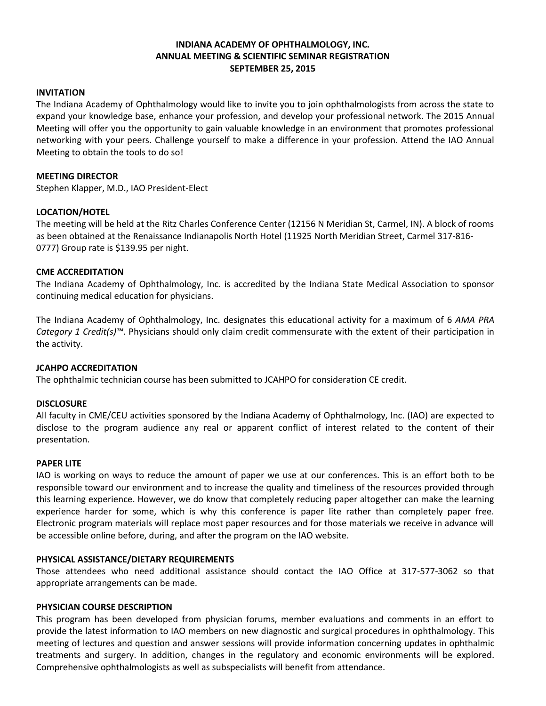## **INDIANA ACADEMY OF OPHTHALMOLOGY, INC. ANNUAL MEETING & SCIENTIFIC SEMINAR REGISTRATION SEPTEMBER 25, 2015**

### **INVITATION**

The Indiana Academy of Ophthalmology would like to invite you to join ophthalmologists from across the state to expand your knowledge base, enhance your profession, and develop your professional network. The 2015 Annual Meeting will offer you the opportunity to gain valuable knowledge in an environment that promotes professional networking with your peers. Challenge yourself to make a difference in your profession. Attend the IAO Annual Meeting to obtain the tools to do so!

## **MEETING DIRECTOR**

Stephen Klapper, M.D., IAO President-Elect

## **LOCATION/HOTEL**

The meeting will be held at the Ritz Charles Conference Center (12156 N Meridian St, Carmel, IN). A block of rooms as been obtained at the Renaissance Indianapolis North Hotel (11925 North Meridian Street, Carmel 317-816- 0777) Group rate is \$139.95 per night.

## **CME ACCREDITATION**

The Indiana Academy of Ophthalmology, Inc. is accredited by the Indiana State Medical Association to sponsor continuing medical education for physicians.

The Indiana Academy of Ophthalmology, Inc. designates this educational activity for a maximum of 6 *AMA PRA Category 1 Credit(s)™*. Physicians should only claim credit commensurate with the extent of their participation in the activity.

## **JCAHPO ACCREDITATION**

The ophthalmic technician course has been submitted to JCAHPO for consideration CE credit.

#### **DISCLOSURE**

All faculty in CME/CEU activities sponsored by the Indiana Academy of Ophthalmology, Inc. (IAO) are expected to disclose to the program audience any real or apparent conflict of interest related to the content of their presentation.

#### **PAPER LITE**

IAO is working on ways to reduce the amount of paper we use at our conferences. This is an effort both to be responsible toward our environment and to increase the quality and timeliness of the resources provided through this learning experience. However, we do know that completely reducing paper altogether can make the learning experience harder for some, which is why this conference is paper lite rather than completely paper free. Electronic program materials will replace most paper resources and for those materials we receive in advance will be accessible online before, during, and after the program on the IAO website.

#### **PHYSICAL ASSISTANCE/DIETARY REQUIREMENTS**

Those attendees who need additional assistance should contact the IAO Office at 317-577-3062 so that appropriate arrangements can be made.

### **PHYSICIAN COURSE DESCRIPTION**

This program has been developed from physician forums, member evaluations and comments in an effort to provide the latest information to IAO members on new diagnostic and surgical procedures in ophthalmology. This meeting of lectures and question and answer sessions will provide information concerning updates in ophthalmic treatments and surgery. In addition, changes in the regulatory and economic environments will be explored. Comprehensive ophthalmologists as well as subspecialists will benefit from attendance.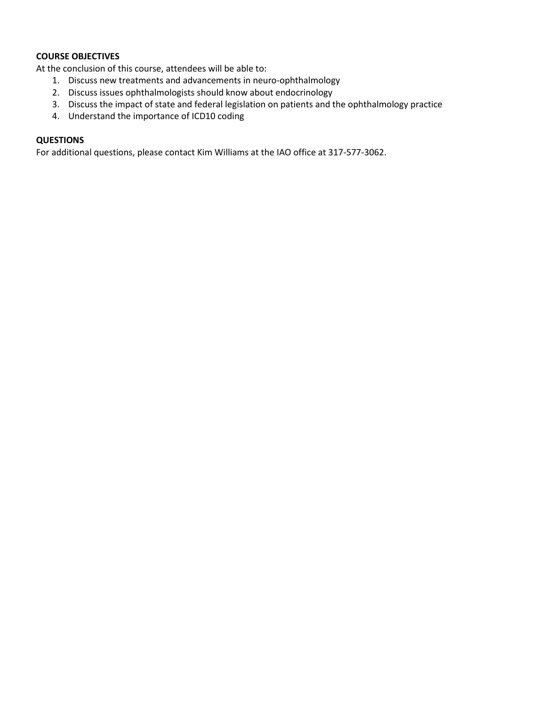## **COURSE OBJECTIVES**

At the conclusion of this course, attendees will be able to:

- 1. Discuss new treatments and advancements in neuro-ophthalmology
- 2. Discuss issues ophthalmologists should know about endocrinology
- 3. Discuss the impact of state and federal legislation on patients and the ophthalmology practice
- 4. Understand the importance of ICD10 coding

## **QUESTIONS**

For additional questions, please contact Kim Williams at the IAO office at 317-577-3062.